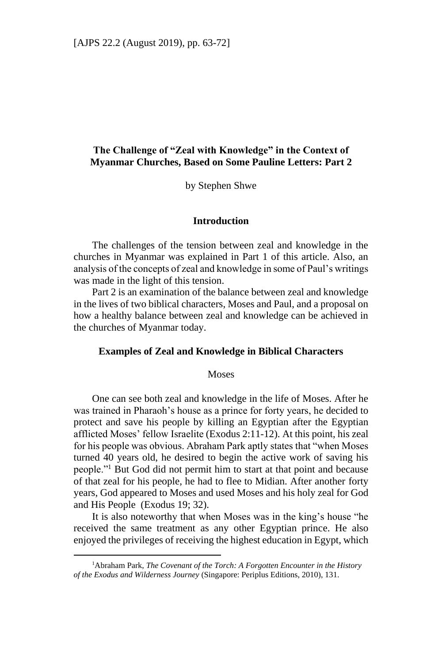# **The Challenge of "Zeal with Knowledge" in the Context of Myanmar Churches, Based on Some Pauline Letters: Part 2**

by Stephen Shwe

### **Introduction**

The challenges of the tension between zeal and knowledge in the churches in Myanmar was explained in Part 1 of this article. Also, an analysis of the concepts of zeal and knowledge in some of Paul's writings was made in the light of this tension.

Part 2 is an examination of the balance between zeal and knowledge in the lives of two biblical characters, Moses and Paul, and a proposal on how a healthy balance between zeal and knowledge can be achieved in the churches of Myanmar today.

### **Examples of Zeal and Knowledge in Biblical Characters**

### **Moses**

One can see both zeal and knowledge in the life of Moses. After he was trained in Pharaoh's house as a prince for forty years, he decided to protect and save his people by killing an Egyptian after the Egyptian afflicted Moses' fellow Israelite (Exodus 2:11-12). At this point, his zeal for his people was obvious. Abraham Park aptly states that "when Moses turned 40 years old, he desired to begin the active work of saving his people."<sup>1</sup> But God did not permit him to start at that point and because of that zeal for his people, he had to flee to Midian. After another forty years, God appeared to Moses and used Moses and his holy zeal for God and His People (Exodus 19; 32).

It is also noteworthy that when Moses was in the king's house "he received the same treatment as any other Egyptian prince. He also enjoyed the privileges of receiving the highest education in Egypt, which

-

<sup>&</sup>lt;sup>1</sup>Abraham Park, *The Covenant of the Torch: A Forgotten Encounter in the History of the Exodus and Wilderness Journey* (Singapore: Periplus Editions, 2010), 131.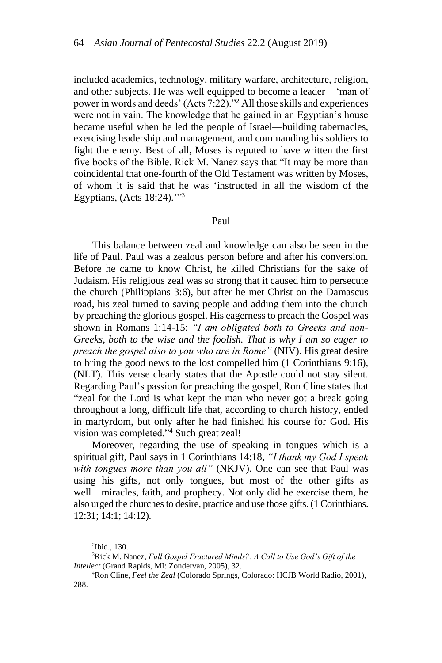included academics, technology, military warfare, architecture, religion, and other subjects. He was well equipped to become a leader – 'man of power in words and deeds' (Acts 7:22)."<sup>2</sup> All those skills and experiences were not in vain. The knowledge that he gained in an Egyptian's house became useful when he led the people of Israel—building tabernacles, exercising leadership and management, and commanding his soldiers to fight the enemy. Best of all, Moses is reputed to have written the first five books of the Bible. Rick M. Nanez says that "It may be more than coincidental that one-fourth of the Old Testament was written by Moses, of whom it is said that he was 'instructed in all the wisdom of the Egyptians, (Acts 18:24).'" 3

#### Paul

This balance between zeal and knowledge can also be seen in the life of Paul. Paul was a zealous person before and after his conversion. Before he came to know Christ, he killed Christians for the sake of Judaism. His religious zeal was so strong that it caused him to persecute the church (Philippians 3:6), but after he met Christ on the Damascus road, his zeal turned to saving people and adding them into the church by preaching the glorious gospel. His eagerness to preach the Gospel was shown in Romans 1:14-15: *"I am obligated both to Greeks and non-Greeks, both to the wise and the foolish. That is why I am so eager to preach the gospel also to you who are in Rome"* (NIV). His great desire to bring the good news to the lost compelled him (1 Corinthians 9:16), (NLT). This verse clearly states that the Apostle could not stay silent. Regarding Paul's passion for preaching the gospel, Ron Cline states that "zeal for the Lord is what kept the man who never got a break going throughout a long, difficult life that, according to church history, ended in martyrdom, but only after he had finished his course for God. His vision was completed."<sup>4</sup> Such great zeal!

Moreover, regarding the use of speaking in tongues which is a spiritual gift, Paul says in 1 Corinthians 14:18, *"I thank my God I speak with tongues more than you all"* (NKJV). One can see that Paul was using his gifts, not only tongues, but most of the other gifts as well—miracles, faith, and prophecy. Not only did he exercise them, he also urged the churches to desire, practice and use those gifts. (1 Corinthians. 12:31; 14:1; 14:12).

1

<sup>2</sup> Ibid., 130.

<sup>3</sup>Rick M. Nanez, *Full Gospel Fractured Minds?: A Call to Use God's Gift of the Intellect* (Grand Rapids, MI: Zondervan, 2005), 32.

<sup>4</sup>Ron Cline, *Feel the Zeal* (Colorado Springs, Colorado: HCJB World Radio, 2001), 288.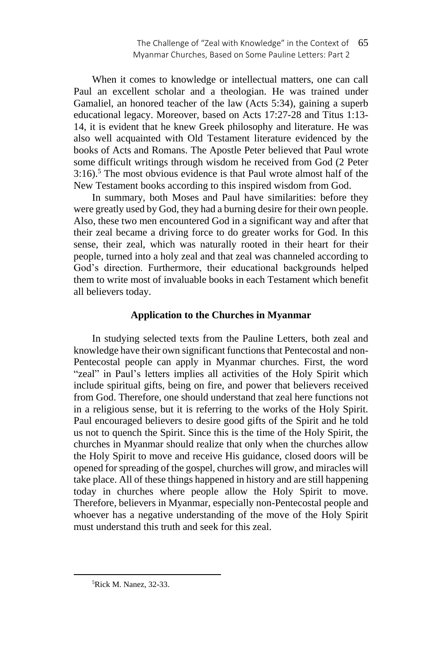When it comes to knowledge or intellectual matters, one can call Paul an excellent scholar and a theologian. He was trained under Gamaliel, an honored teacher of the law (Acts 5:34), gaining a superb educational legacy. Moreover, based on Acts 17:27-28 and Titus 1:13- 14, it is evident that he knew Greek philosophy and literature. He was also well acquainted with Old Testament literature evidenced by the books of Acts and Romans. The Apostle Peter believed that Paul wrote some difficult writings through wisdom he received from God (2 Peter 3:16).<sup>5</sup> The most obvious evidence is that Paul wrote almost half of the New Testament books according to this inspired wisdom from God.

In summary, both Moses and Paul have similarities: before they were greatly used by God, they had a burning desire for their own people. Also, these two men encountered God in a significant way and after that their zeal became a driving force to do greater works for God. In this sense, their zeal, which was naturally rooted in their heart for their people, turned into a holy zeal and that zeal was channeled according to God's direction. Furthermore, their educational backgrounds helped them to write most of invaluable books in each Testament which benefit all believers today.

## **Application to the Churches in Myanmar**

In studying selected texts from the Pauline Letters, both zeal and knowledge have their own significant functions that Pentecostal and non-Pentecostal people can apply in Myanmar churches. First, the word "zeal" in Paul's letters implies all activities of the Holy Spirit which include spiritual gifts, being on fire, and power that believers received from God. Therefore, one should understand that zeal here functions not in a religious sense, but it is referring to the works of the Holy Spirit. Paul encouraged believers to desire good gifts of the Spirit and he told us not to quench the Spirit. Since this is the time of the Holy Spirit, the churches in Myanmar should realize that only when the churches allow the Holy Spirit to move and receive His guidance, closed doors will be opened for spreading of the gospel, churches will grow, and miracles will take place. All of these things happened in history and are still happening today in churches where people allow the Holy Spirit to move. Therefore, believers in Myanmar, especially non-Pentecostal people and whoever has a negative understanding of the move of the Holy Spirit must understand this truth and seek for this zeal.

1

<sup>5</sup>Rick M. Nanez, 32-33.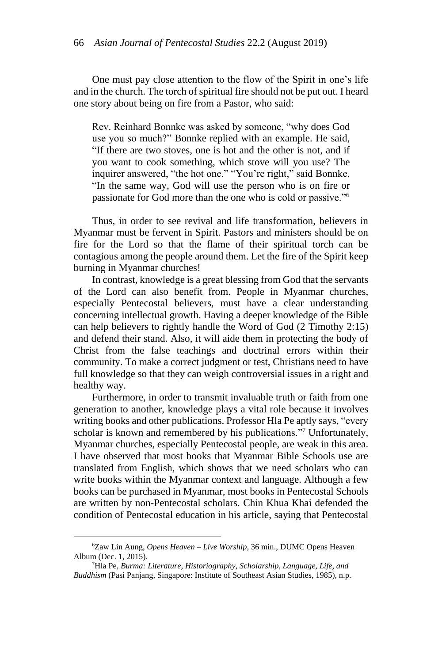One must pay close attention to the flow of the Spirit in one's life and in the church. The torch of spiritual fire should not be put out. I heard one story about being on fire from a Pastor, who said:

Rev. Reinhard Bonnke was asked by someone, "why does God use you so much?" Bonnke replied with an example. He said, "If there are two stoves, one is hot and the other is not, and if you want to cook something, which stove will you use? The inquirer answered, "the hot one." "You're right," said Bonnke. "In the same way, God will use the person who is on fire or passionate for God more than the one who is cold or passive."<sup>6</sup>

Thus, in order to see revival and life transformation, believers in Myanmar must be fervent in Spirit. Pastors and ministers should be on fire for the Lord so that the flame of their spiritual torch can be contagious among the people around them. Let the fire of the Spirit keep burning in Myanmar churches!

In contrast, knowledge is a great blessing from God that the servants of the Lord can also benefit from. People in Myanmar churches, especially Pentecostal believers, must have a clear understanding concerning intellectual growth. Having a deeper knowledge of the Bible can help believers to rightly handle the Word of God (2 Timothy 2:15) and defend their stand. Also, it will aide them in protecting the body of Christ from the false teachings and doctrinal errors within their community. To make a correct judgment or test, Christians need to have full knowledge so that they can weigh controversial issues in a right and healthy way.

Furthermore, in order to transmit invaluable truth or faith from one generation to another, knowledge plays a vital role because it involves writing books and other publications. Professor Hla Pe aptly says, "every scholar is known and remembered by his publications."7 Unfortunately, Myanmar churches, especially Pentecostal people, are weak in this area. I have observed that most books that Myanmar Bible Schools use are translated from English, which shows that we need scholars who can write books within the Myanmar context and language. Although a few books can be purchased in Myanmar, most books in Pentecostal Schools are written by non-Pentecostal scholars. Chin Khua Khai defended the condition of Pentecostal education in his article, saying that Pentecostal

1

<sup>6</sup>Zaw Lin Aung, *Opens Heaven – Live Worship*, 36 min., DUMC Opens Heaven Album (Dec. 1, 2015).

<sup>7</sup>Hla Pe, *Burma: Literature, Historiography, Scholarship, Language, Life, and Buddhism* (Pasi Panjang, Singapore: Institute of Southeast Asian Studies, 1985), n.p.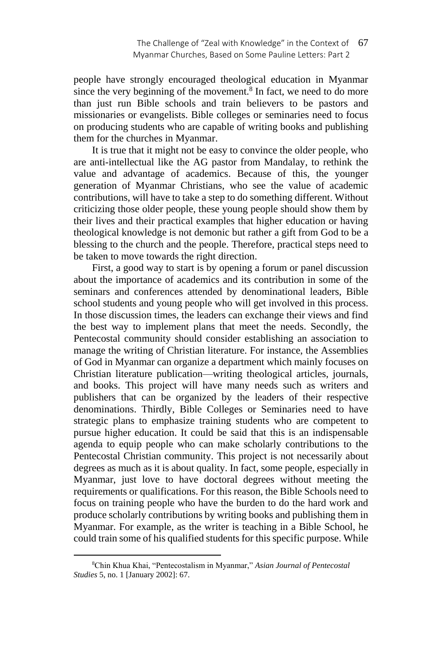people have strongly encouraged theological education in Myanmar since the very beginning of the movement. $8$  In fact, we need to do more than just run Bible schools and train believers to be pastors and missionaries or evangelists. Bible colleges or seminaries need to focus on producing students who are capable of writing books and publishing them for the churches in Myanmar.

It is true that it might not be easy to convince the older people, who are anti-intellectual like the AG pastor from Mandalay, to rethink the value and advantage of academics. Because of this, the younger generation of Myanmar Christians, who see the value of academic contributions, will have to take a step to do something different. Without criticizing those older people, these young people should show them by their lives and their practical examples that higher education or having theological knowledge is not demonic but rather a gift from God to be a blessing to the church and the people. Therefore, practical steps need to be taken to move towards the right direction.

First, a good way to start is by opening a forum or panel discussion about the importance of academics and its contribution in some of the seminars and conferences attended by denominational leaders, Bible school students and young people who will get involved in this process. In those discussion times, the leaders can exchange their views and find the best way to implement plans that meet the needs. Secondly, the Pentecostal community should consider establishing an association to manage the writing of Christian literature. For instance, the Assemblies of God in Myanmar can organize a department which mainly focuses on Christian literature publication⸻writing theological articles, journals, and books. This project will have many needs such as writers and publishers that can be organized by the leaders of their respective denominations. Thirdly, Bible Colleges or Seminaries need to have strategic plans to emphasize training students who are competent to pursue higher education. It could be said that this is an indispensable agenda to equip people who can make scholarly contributions to the Pentecostal Christian community. This project is not necessarily about degrees as much as it is about quality. In fact, some people, especially in Myanmar, just love to have doctoral degrees without meeting the requirements or qualifications. For this reason, the Bible Schools need to focus on training people who have the burden to do the hard work and produce scholarly contributions by writing books and publishing them in Myanmar. For example, as the writer is teaching in a Bible School, he could train some of his qualified students for this specific purpose. While

-

<sup>8</sup>Chin Khua Khai, "Pentecostalism in Myanmar," *Asian Journal of Pentecostal Studies* 5, no. 1 [January 2002]: 67.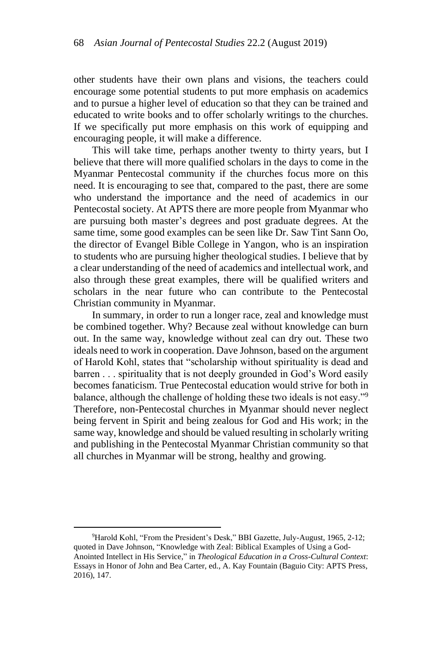other students have their own plans and visions, the teachers could encourage some potential students to put more emphasis on academics and to pursue a higher level of education so that they can be trained and educated to write books and to offer scholarly writings to the churches. If we specifically put more emphasis on this work of equipping and encouraging people, it will make a difference.

This will take time, perhaps another twenty to thirty years, but I believe that there will more qualified scholars in the days to come in the Myanmar Pentecostal community if the churches focus more on this need. It is encouraging to see that, compared to the past, there are some who understand the importance and the need of academics in our Pentecostal society. At APTS there are more people from Myanmar who are pursuing both master's degrees and post graduate degrees. At the same time, some good examples can be seen like Dr. Saw Tint Sann Oo, the director of Evangel Bible College in Yangon, who is an inspiration to students who are pursuing higher theological studies. I believe that by a clear understanding of the need of academics and intellectual work, and also through these great examples, there will be qualified writers and scholars in the near future who can contribute to the Pentecostal Christian community in Myanmar.

In summary, in order to run a longer race, zeal and knowledge must be combined together. Why? Because zeal without knowledge can burn out. In the same way, knowledge without zeal can dry out. These two ideals need to work in cooperation. Dave Johnson, based on the argument of Harold Kohl, states that "scholarship without spirituality is dead and barren . . . spirituality that is not deeply grounded in God's Word easily becomes fanaticism. True Pentecostal education would strive for both in balance, although the challenge of holding these two ideals is not easy."<sup>9</sup> Therefore, non-Pentecostal churches in Myanmar should never neglect being fervent in Spirit and being zealous for God and His work; in the same way, knowledge and should be valued resulting in scholarly writing and publishing in the Pentecostal Myanmar Christian community so that all churches in Myanmar will be strong, healthy and growing.

-

<sup>9</sup>Harold Kohl, "From the President's Desk," BBI Gazette, July-August, 1965, 2-12; quoted in Dave Johnson, "Knowledge with Zeal: Biblical Examples of Using a God-Anointed Intellect in His Service," in *Theological Education in a Cross-Cultural Context*: Essays in Honor of John and Bea Carter, ed., A. Kay Fountain (Baguio City: APTS Press, 2016), 147.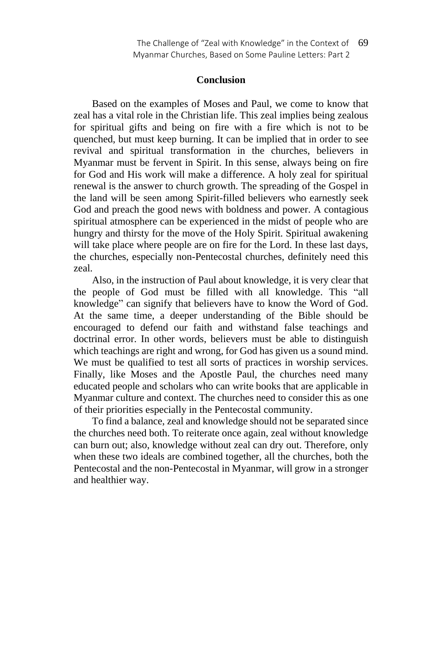## **Conclusion**

Based on the examples of Moses and Paul, we come to know that zeal has a vital role in the Christian life. This zeal implies being zealous for spiritual gifts and being on fire with a fire which is not to be quenched, but must keep burning. It can be implied that in order to see revival and spiritual transformation in the churches, believers in Myanmar must be fervent in Spirit. In this sense, always being on fire for God and His work will make a difference. A holy zeal for spiritual renewal is the answer to church growth. The spreading of the Gospel in the land will be seen among Spirit-filled believers who earnestly seek God and preach the good news with boldness and power. A contagious spiritual atmosphere can be experienced in the midst of people who are hungry and thirsty for the move of the Holy Spirit. Spiritual awakening will take place where people are on fire for the Lord. In these last days, the churches, especially non-Pentecostal churches, definitely need this zeal.

Also, in the instruction of Paul about knowledge, it is very clear that the people of God must be filled with all knowledge. This "all knowledge" can signify that believers have to know the Word of God. At the same time, a deeper understanding of the Bible should be encouraged to defend our faith and withstand false teachings and doctrinal error. In other words, believers must be able to distinguish which teachings are right and wrong, for God has given us a sound mind. We must be qualified to test all sorts of practices in worship services. Finally, like Moses and the Apostle Paul, the churches need many educated people and scholars who can write books that are applicable in Myanmar culture and context. The churches need to consider this as one of their priorities especially in the Pentecostal community.

To find a balance, zeal and knowledge should not be separated since the churches need both. To reiterate once again, zeal without knowledge can burn out; also, knowledge without zeal can dry out. Therefore, only when these two ideals are combined together, all the churches, both the Pentecostal and the non-Pentecostal in Myanmar, will grow in a stronger and healthier way.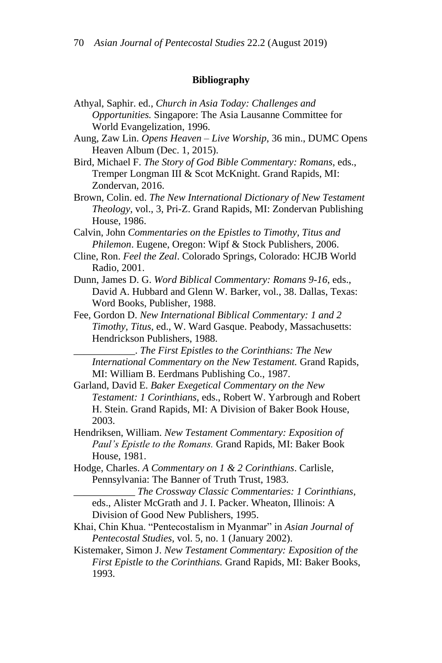### **Bibliography**

- Athyal, Saphir. ed., *Church in Asia Today: Challenges and Opportunities.* Singapore: The Asia Lausanne Committee for World Evangelization, 1996.
- Aung, Zaw Lin. *Opens Heaven – Live Worship*, 36 min., DUMC Opens Heaven Album (Dec. 1, 2015).
- Bird, Michael F. *The Story of God Bible Commentary: Romans*, eds., Tremper Longman III & Scot McKnight. Grand Rapids, MI: Zondervan, 2016.
- Brown, Colin. ed. *The New International Dictionary of New Testament Theology*, vol., 3, Pri-Z. Grand Rapids, MI: Zondervan Publishing House, 1986.
- Calvin, John *Commentaries on the Epistles to Timothy, Titus and Philemon*. Eugene, Oregon: Wipf & Stock Publishers, 2006.
- Cline, Ron. *Feel the Zeal*. Colorado Springs, Colorado: HCJB World Radio, 2001.
- Dunn, James D. G. *Word Biblical Commentary: Romans 9-16*, eds., David A. Hubbard and Glenn W. Barker, vol., 38. Dallas, Texas: Word Books, Publisher, 1988.
- Fee, Gordon D. *New International Biblical Commentary: 1 and 2 Timothy, Titus*, ed., W. Ward Gasque. Peabody, Massachusetts: Hendrickson Publishers, 1988.

\_\_\_\_\_\_\_\_\_\_\_\_. *The First Epistles to the Corinthians: The New International Commentary on the New Testament.* Grand Rapids, MI: William B. Eerdmans Publishing Co., 1987.

- Garland, David E. *Baker Exegetical Commentary on the New Testament: 1 Corinthians*, eds., Robert W. Yarbrough and Robert H. Stein. Grand Rapids, MI: A Division of Baker Book House, 2003.
- Hendriksen, William. *New Testament Commentary: Exposition of Paul's Epistle to the Romans.* Grand Rapids, MI: Baker Book House, 1981.
- Hodge, Charles. *A Commentary on 1 & 2 Corinthians*. Carlisle, Pennsylvania: The Banner of Truth Trust, 1983.
	- \_\_\_\_\_\_\_\_\_\_\_\_ *The Crossway Classic Commentaries: 1 Corinthians*, eds., Alister McGrath and J. I. Packer. Wheaton, Illinois: A Division of Good New Publishers, 1995.
- Khai, Chin Khua. "Pentecostalism in Myanmar" in *Asian Journal of Pentecostal Studies*, vol. 5, no. 1 (January 2002).
- Kistemaker, Simon J. *New Testament Commentary: Exposition of the First Epistle to the Corinthians.* Grand Rapids, MI: Baker Books, 1993.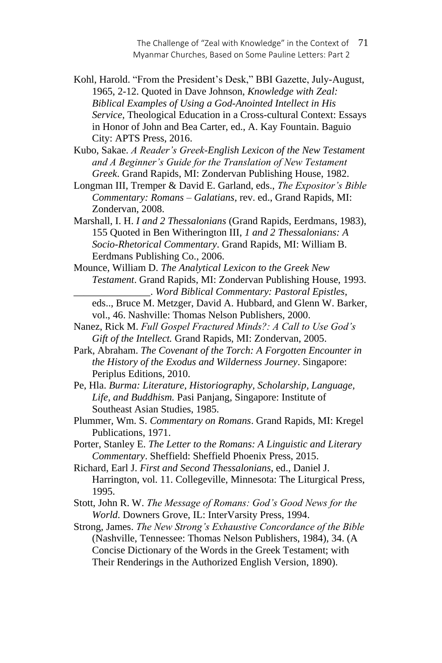The Challenge of "Zeal with Knowledge" in the Context of 71 Myanmar Churches, Based on Some Pauline Letters: Part 2

Kohl, Harold. "From the President's Desk," BBI Gazette, July-August, 1965, 2-12. Quoted in Dave Johnson, *Knowledge with Zeal: Biblical Examples of Using a God-Anointed Intellect in His Service*, Theological Education in a Cross-cultural Context: Essays in Honor of John and Bea Carter, ed., A. Kay Fountain. Baguio City: APTS Press, 2016.

Kubo, Sakae. *A Reader's Greek-English Lexicon of the New Testament and A Beginner's Guide for the Translation of New Testament Greek*. Grand Rapids, MI: Zondervan Publishing House, 1982.

Longman III, Tremper & David E. Garland, eds., *The Expositor's Bible Commentary: Romans – Galatians*, rev. ed., Grand Rapids, MI: Zondervan, 2008.

Marshall, I. H. *I and 2 Thessalonians* (Grand Rapids, Eerdmans, 1983), 155 Quoted in Ben Witherington III, *1 and 2 Thessalonians: A Socio-Rhetorical Commentary*. Grand Rapids, MI: William B. Eerdmans Publishing Co., 2006.

Mounce, William D. *The Analytical Lexicon to the Greek New Testament*. Grand Rapids, MI: Zondervan Publishing House, 1993. \_\_\_\_\_\_\_\_\_\_\_\_\_\_\_. *Word Biblical Commentary: Pastoral Epistles*,

eds.., Bruce M. Metzger, David A. Hubbard, and Glenn W. Barker, vol., 46. Nashville: Thomas Nelson Publishers, 2000.

Nanez, Rick M. *Full Gospel Fractured Minds?: A Call to Use God's Gift of the Intellect.* Grand Rapids, MI: Zondervan, 2005.

Park, Abraham. *The Covenant of the Torch: A Forgotten Encounter in the History of the Exodus and Wilderness Journey*. Singapore: Periplus Editions, 2010.

Pe, Hla. *Burma: Literature, Historiography, Scholarship, Language, Life, and Buddhism.* Pasi Panjang, Singapore: Institute of Southeast Asian Studies, 1985.

Plummer, Wm. S. *Commentary on Romans*. Grand Rapids, MI: Kregel Publications, 1971.

Porter, Stanley E. *The Letter to the Romans: A Linguistic and Literary Commentary*. Sheffield: Sheffield Phoenix Press, 2015.

Richard, Earl J. *First and Second Thessalonians*, ed., Daniel J. Harrington, vol. 11. Collegeville, Minnesota: The Liturgical Press, 1995.

Stott, John R. W. *The Message of Romans: God's Good News for the World*. Downers Grove, IL: InterVarsity Press, 1994.

Strong, James. *The New Strong's Exhaustive Concordance of the Bible* (Nashville, Tennessee: Thomas Nelson Publishers, 1984), 34. (A Concise Dictionary of the Words in the Greek Testament; with Their Renderings in the Authorized English Version, 1890).